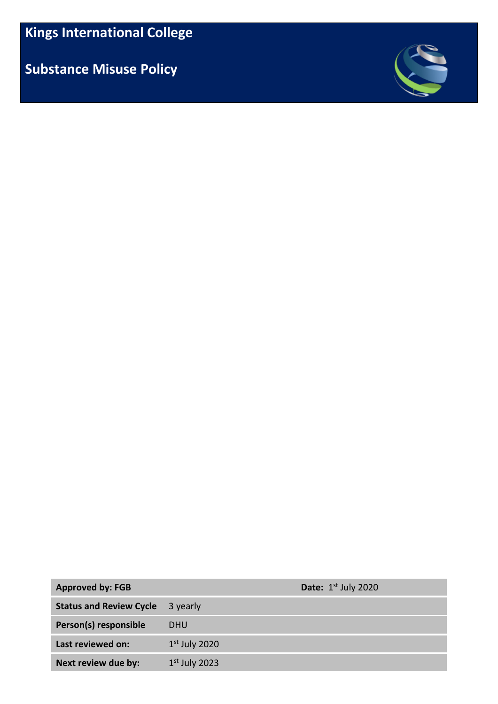**Substance Misuse Policy**



| <b>Approved by: FGB</b>        |                 | <b>Date:</b> $1st$ July 2020 |
|--------------------------------|-----------------|------------------------------|
| <b>Status and Review Cycle</b> | 3 yearly        |                              |
| Person(s) responsible          | <b>DHU</b>      |                              |
| Last reviewed on:              | $1st$ July 2020 |                              |
| Next review due by:            | $1st$ July 2023 |                              |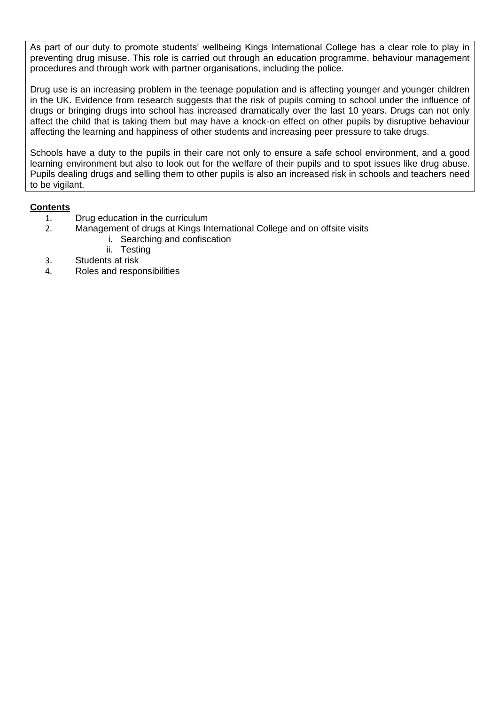As part of our duty to promote students' wellbeing Kings International College has a clear role to play in preventing drug misuse. This role is carried out through an education programme, behaviour management procedures and through work with partner organisations, including the police.

Drug use is an increasing problem in the teenage population and is affecting younger and younger children in the UK. Evidence from research suggests that the risk of pupils coming to school under the influence of drugs or bringing drugs into school has increased dramatically over the last 10 years. Drugs can not only affect the child that is taking them but may have a knock-on effect on other pupils by disruptive behaviour affecting the learning and happiness of other students and increasing peer pressure to take drugs.

Schools have a duty to the pupils in their care not only to ensure a safe school environment, and a good learning environment but also to look out for the welfare of their pupils and to spot issues like drug abuse. Pupils dealing drugs and selling them to other pupils is also an increased risk in schools and teachers need to be vigilant.

## **Contents**

- 1. Drug education in the curriculum<br>2. Management of drugs at Kings In
- Management of drugs at Kings International College and on offsite visits
	- i. Searching and confiscation
	- ii. Testing
- 3. Students at risk
- 4. Roles and responsibilities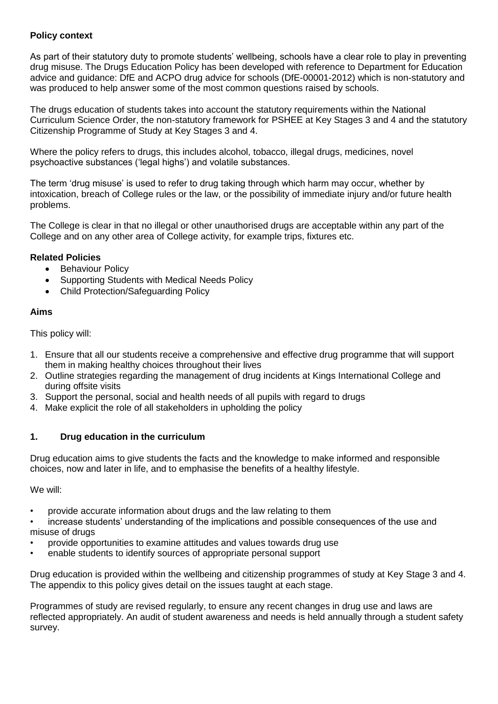# **Policy context**

As part of their statutory duty to promote students' wellbeing, schools have a clear role to play in preventing drug misuse. The Drugs Education Policy has been developed with reference to Department for Education advice and guidance: DfE and ACPO drug advice for schools (DfE-00001-2012) which is non-statutory and was produced to help answer some of the most common questions raised by schools.

The drugs education of students takes into account the statutory requirements within the National Curriculum Science Order, the non-statutory framework for PSHEE at Key Stages 3 and 4 and the statutory Citizenship Programme of Study at Key Stages 3 and 4.

Where the policy refers to drugs, this includes alcohol, tobacco, illegal drugs, medicines, novel psychoactive substances ('legal highs') and volatile substances.

The term 'drug misuse' is used to refer to drug taking through which harm may occur, whether by intoxication, breach of College rules or the law, or the possibility of immediate injury and/or future health problems.

The College is clear in that no illegal or other unauthorised drugs are acceptable within any part of the College and on any other area of College activity, for example trips, fixtures etc.

## **Related Policies**

- Behaviour Policy
- Supporting Students with Medical Needs Policy
- Child Protection/Safeguarding Policy

#### **Aims**

This policy will:

- 1. Ensure that all our students receive a comprehensive and effective drug programme that will support them in making healthy choices throughout their lives
- 2. Outline strategies regarding the management of drug incidents at Kings International College and during offsite visits
- 3. Support the personal, social and health needs of all pupils with regard to drugs
- 4. Make explicit the role of all stakeholders in upholding the policy

#### **1. Drug education in the curriculum**

Drug education aims to give students the facts and the knowledge to make informed and responsible choices, now and later in life, and to emphasise the benefits of a healthy lifestyle.

We will:

- provide accurate information about drugs and the law relating to them
- increase students' understanding of the implications and possible consequences of the use and misuse of drugs
- provide opportunities to examine attitudes and values towards drug use
- enable students to identify sources of appropriate personal support

Drug education is provided within the wellbeing and citizenship programmes of study at Key Stage 3 and 4. The appendix to this policy gives detail on the issues taught at each stage.

Programmes of study are revised regularly, to ensure any recent changes in drug use and laws are reflected appropriately. An audit of student awareness and needs is held annually through a student safety survey.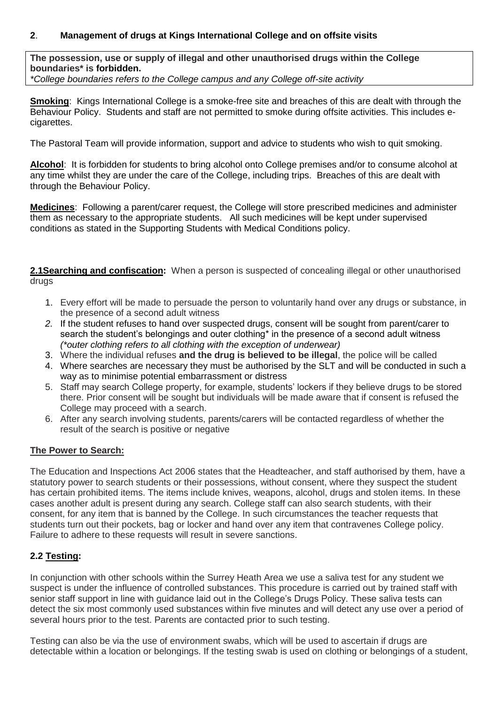## **2**. **Management of drugs at Kings International College and on offsite visits**

**The possession, use or supply of illegal and other unauthorised drugs within the College boundaries\* is forbidden.** *\*College boundaries refers to the College campus and any College off-site activity*

**Smoking**: Kings International College is a smoke-free site and breaches of this are dealt with through the Behaviour Policy. Students and staff are not permitted to smoke during offsite activities. This includes ecigarettes.

The Pastoral Team will provide information, support and advice to students who wish to quit smoking.

**Alcohol**: It is forbidden for students to bring alcohol onto College premises and/or to consume alcohol at any time whilst they are under the care of the College, including trips. Breaches of this are dealt with through the Behaviour Policy.

**Medicines**: Following a parent/carer request, the College will store prescribed medicines and administer them as necessary to the appropriate students. All such medicines will be kept under supervised conditions as stated in the Supporting Students with Medical Conditions policy.

**2.1Searching and confiscation:** When a person is suspected of concealing illegal or other unauthorised drugs

- 1. Every effort will be made to persuade the person to voluntarily hand over any drugs or substance, in the presence of a second adult witness
- *2.* If the student refuses to hand over suspected drugs, consent will be sought from parent/carer to search the student's belongings and outer clothing\* in the presence of a second adult witness *(\*outer clothing refers to all clothing with the exception of underwear)*
- 3. Where the individual refuses **and the drug is believed to be illegal**, the police will be called
- 4. Where searches are necessary they must be authorised by the SLT and will be conducted in such a way as to minimise potential embarrassment or distress
- 5. Staff may search College property, for example, students' lockers if they believe drugs to be stored there. Prior consent will be sought but individuals will be made aware that if consent is refused the College may proceed with a search.
- 6. After any search involving students, parents/carers will be contacted regardless of whether the result of the search is positive or negative

#### **The Power to Search:**

The Education and Inspections Act 2006 states that the Headteacher, and staff authorised by them, have a statutory power to search students or their possessions, without consent, where they suspect the student has certain prohibited items. The items include knives, weapons, alcohol, drugs and stolen items. In these cases another adult is present during any search. College staff can also search students, with their consent, for any item that is banned by the College. In such circumstances the teacher requests that students turn out their pockets, bag or locker and hand over any item that contravenes College policy. Failure to adhere to these requests will result in severe sanctions.

#### **2.2 Testing:**

In conjunction with other schools within the Surrey Heath Area we use a saliva test for any student we suspect is under the influence of controlled substances. This procedure is carried out by trained staff with senior staff support in line with guidance laid out in the College's Drugs Policy. These saliva tests can detect the six most commonly used substances within five minutes and will detect any use over a period of several hours prior to the test. Parents are contacted prior to such testing.

Testing can also be via the use of environment swabs, which will be used to ascertain if drugs are detectable within a location or belongings. If the testing swab is used on clothing or belongings of a student,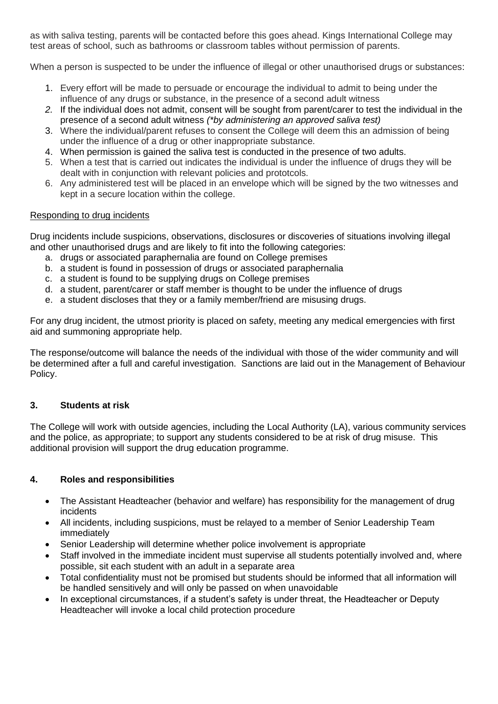as with saliva testing, parents will be contacted before this goes ahead. Kings International College may test areas of school, such as bathrooms or classroom tables without permission of parents.

When a person is suspected to be under the influence of illegal or other unauthorised drugs or substances:

- 1. Every effort will be made to persuade or encourage the individual to admit to being under the influence of any drugs or substance, in the presence of a second adult witness
- *2.* If the individual does not admit, consent will be sought from parent/carer to test the individual in the presence of a second adult witness *(\*by administering an approved saliva test)*
- 3. Where the individual/parent refuses to consent the College will deem this an admission of being under the influence of a drug or other inappropriate substance.
- 4. When permission is gained the saliva test is conducted in the presence of two adults.
- 5. When a test that is carried out indicates the individual is under the influence of drugs they will be dealt with in conjunction with relevant policies and prototcols.
- 6. Any administered test will be placed in an envelope which will be signed by the two witnesses and kept in a secure location within the college.

## Responding to drug incidents

Drug incidents include suspicions, observations, disclosures or discoveries of situations involving illegal and other unauthorised drugs and are likely to fit into the following categories:

- a. drugs or associated paraphernalia are found on College premises
- b. a student is found in possession of drugs or associated paraphernalia
- c. a student is found to be supplying drugs on College premises
- d. a student, parent/carer or staff member is thought to be under the influence of drugs
- e. a student discloses that they or a family member/friend are misusing drugs.

For any drug incident, the utmost priority is placed on safety, meeting any medical emergencies with first aid and summoning appropriate help.

The response/outcome will balance the needs of the individual with those of the wider community and will be determined after a full and careful investigation. Sanctions are laid out in the Management of Behaviour Policy.

#### **3. Students at risk**

The College will work with outside agencies, including the Local Authority (LA), various community services and the police, as appropriate; to support any students considered to be at risk of drug misuse. This additional provision will support the drug education programme.

# **4. Roles and responsibilities**

- The Assistant Headteacher (behavior and welfare) has responsibility for the management of drug incidents
- All incidents, including suspicions, must be relayed to a member of Senior Leadership Team immediately
- Senior Leadership will determine whether police involvement is appropriate
- Staff involved in the immediate incident must supervise all students potentially involved and, where possible, sit each student with an adult in a separate area
- Total confidentiality must not be promised but students should be informed that all information will be handled sensitively and will only be passed on when unavoidable
- In exceptional circumstances, if a student's safety is under threat, the Headteacher or Deputy Headteacher will invoke a local child protection procedure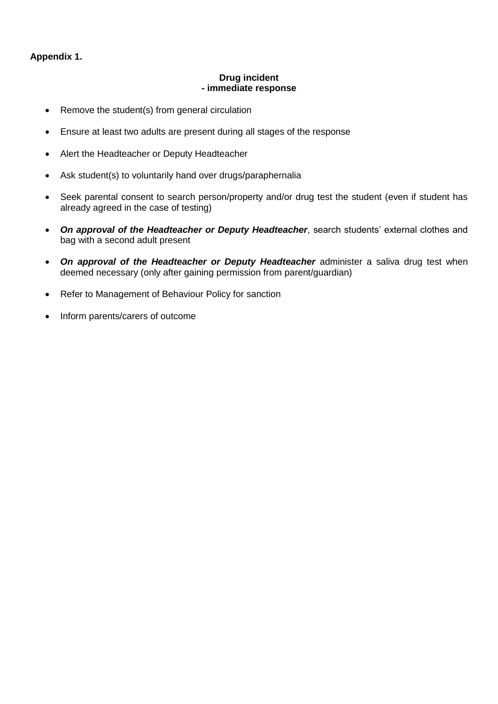# **Appendix 1.**

#### **Drug incident - immediate response**

- Remove the student(s) from general circulation
- Ensure at least two adults are present during all stages of the response
- Alert the Headteacher or Deputy Headteacher
- Ask student(s) to voluntarily hand over drugs/paraphernalia
- Seek parental consent to search person/property and/or drug test the student (even if student has already agreed in the case of testing)
- *On approval of the Headteacher or Deputy Headteacher*, search students' external clothes and bag with a second adult present
- On approval of the Headteacher or Deputy Headteacher administer a saliva drug test when deemed necessary (only after gaining permission from parent/guardian)
- Refer to Management of Behaviour Policy for sanction
- Inform parents/carers of outcome